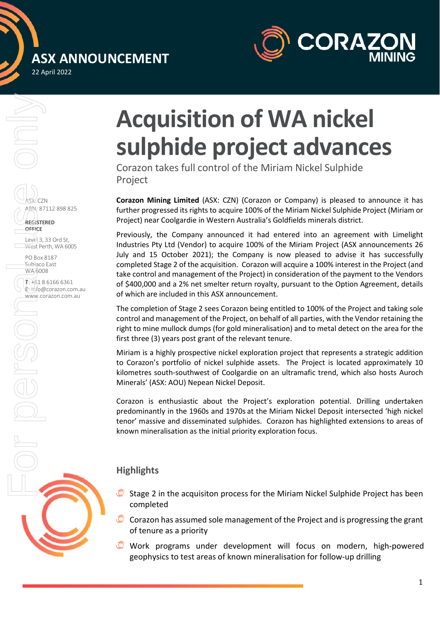## **ASX ANNOUNCEMENT**  22 April 2022



# ASX: CZN ABN: 87112 898 825 **REGISTERED OFFICE** Level 3, 33 Ord St, West Perth, WA 6005 For Pobox 2<br>
For Pobox 2<br>
West Person<br>
West Person<br>
West Person<br>
West Person<br>
West Person<br>
West Person<br>
West Person<br>
West Person<br>
West Person<br>
West Person<br>
West Person<br>
West Person<br>
West Person<br>
West Person<br>
West Person<br>
W

PO Box 8187 Subiaco East WA 6008

**T**: +61 8 6166 6361 **E**: info@corazon.com.au www.corazon.com.au

## **Acquisition of WA nickel sulphide project advances**

Corazon takes full control of the Miriam Nickel Sulphide Project

**Corazon Mining Limited** (ASX: CZN) (Corazon or Company) is pleased to announce it has further progressed its rights to acquire 100% of the Miriam Nickel Sulphide Project (Miriam or Project) near Coolgardie in Western Australia's Goldfields minerals district.

Previously, the Company announced it had entered into an agreement with Limelight Industries Pty Ltd (Vendor) to acquire 100% of the Miriam Project (ASX announcements 26 July and 15 October 2021); the Company is now pleased to advise it has successfully completed Stage 2 of the acquisition. Corazon will acquire a 100% interest in the Project (and take control and management of the Project) in consideration of the payment to the Vendors of \$400,000 and a 2% net smelter return royalty, pursuant to the Option Agreement, details of which are included in this ASX announcement.

The completion of Stage 2 sees Corazon being entitled to 100% of the Project and taking sole control and management of the Project, on behalf of all parties, with the Vendor retaining the right to mine mullock dumps (for gold mineralisation) and to metal detect on the area for the first three (3) years post grant of the relevant tenure.

Miriam is a highly prospective nickel exploration project that represents a strategic addition to Corazon's portfolio of nickel sulphide assets. The Project is located approximately 10 kilometres south-southwest of Coolgardie on an ultramafic trend, which also hosts Auroch Minerals' (ASX: AOU) Nepean Nickel Deposit.

Corazon is enthusiastic about the Project's exploration potential. Drilling undertaken predominantly in the 1960s and 1970s at the Miriam Nickel Deposit intersected 'high nickel tenor' massive and disseminated sulphides. Corazon has highlighted extensions to areas of known mineralisation as the initial priority exploration focus.

### **Highlights**

- Stage 2 in the acquisiton process for the Miriam Nickel Sulphide Project has been completed
- Corazon has assumed sole management of the Project and is progressing the grant of tenure as a priority
- Work programs under development will focus on modern, high-powered geophysics to test areas of known mineralisation for follow-up drilling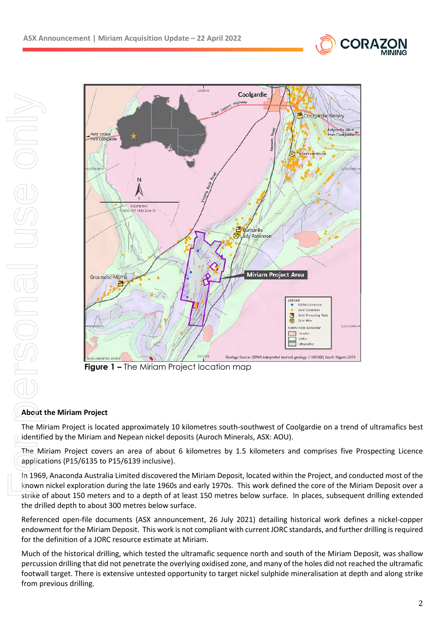



**Figure 1 – The Miriam Project location map** 

#### **About the Miriam Project**

The Miriam Project is located approximately 10 kilometres south-southwest of Coolgardie on a trend of ultramafics best identified by the Miriam and Nepean nickel deposits (Auroch Minerals, ASX: AOU).

The Miriam Project covers an area of about 6 kilometres by 1.5 kilometers and comprises five Prospecting Licence applications (P15/6135 to P15/6139 inclusive).

In 1969, Anaconda Australia Limited discovered the Miriam Deposit, located within the Project, and conducted most of the known nickel exploration during the late 1960s and early 1970s. This work defined the core of the Miriam Deposit over a strike of about 150 meters and to a depth of at least 150 metres below surface. In places, subsequent drilling extended the drilled depth to about 300 metres below surface.

Referenced open-file documents (ASX announcement, 26 July 2021) detailing historical work defines a nickel-copper endowment for the Miriam Deposit. This work is not compliant with current JORC standards, and further drilling is required for the definition of a JORC resource estimate at Miriam.

Much of the historical drilling, which tested the ultramafic sequence north and south of the Miriam Deposit, was shallow percussion drilling that did not penetrate the overlying oxidised zone, and many of the holes did not reached the ultramafic footwall target. There is extensive untested opportunity to target nickel sulphide mineralisation at depth and along strike from previous drilling.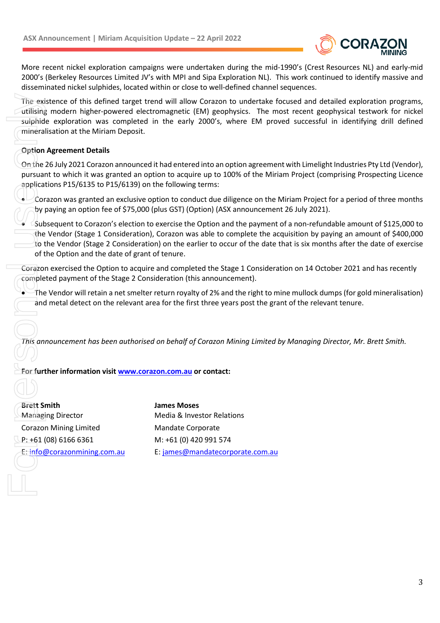

More recent nickel exploration campaigns were undertaken during the mid-1990's (Crest Resources NL) and early-mid 2000's (Berkeley Resources Limited JV's with MPI and Sipa Exploration NL). This work continued to identify massive and disseminated nickel sulphides, located within or close to well-defined channel sequences.

The existence of this defined target trend will allow Corazon to undertake focused and detailed exploration programs, utilising modern higher-powered electromagnetic (EM) geophysics. The most recent geophysical testwork for nickel sulphide exploration was completed in the early 2000's, where EM proved successful in identifying drill defined mineralisation at the Miriam Deposit.

#### **Option Agreement Details**

On the 26 July 2021 Corazon announced it had entered into an option agreement with Limelight Industries Pty Ltd (Vendor), pursuant to which it was granted an option to acquire up to 100% of the Miriam Project (comprising Prospecting Licence applications P15/6135 to P15/6139) on the following terms:

 Corazon was granted an exclusive option to conduct due diligence on the Miriam Project for a period of three months by paying an option fee of \$75,000 (plus GST) (Option) (ASX announcement 26 July 2021).

 Subsequent to Corazon's election to exercise the Option and the payment of a non-refundable amount of \$125,000 to the Vendor (Stage 1 Consideration), Corazon was able to complete the acquisition by paying an amount of \$400,000 to the Vendor (Stage 2 Consideration) on the earlier to occur of the date that is six months after the date of exercise of the Option and the date of grant of tenure.

Corazon exercised the Option to acquire and completed the Stage 1 Consideration on 14 October 2021 and has recently completed payment of the Stage 2 Consideration (this announcement).

 The Vendor will retain a net smelter return royalty of 2% and the right to mine mullock dumps (for gold mineralisation) and metal detect on the relevant area for the first three years post the grant of the relevant tenure.

*This announcement has been authorised on behalf of Corazon Mining Limited by Managing Director, Mr. Brett Smith.* 

#### **For further information visit www.corazon.com.au or contact:**

**Brett Smith James Moses**  Managing Director **Media & Investor Relations** Corazon Mining Limited Mandate Corporate P: +61 (08) 6166 6361 M: +61 (0) 420 991 574 The exit utilising<br>
sulphid<br>
mineral<br>
Option<br>
Option<br>
Option<br>
Option<br>
Option<br>
Option<br>
Discribe<br>
of t<br>
Corazon<br>
Corazon<br>
Corazon<br>
Corazon<br>
Corazon<br>
Corazon<br>
Corazon<br>
Corazon<br>
Corazon<br>
Corazon<br>
Corazon<br>
Corazon<br>
Corazon<br>
Cor

E: info@corazonmining.com.au E: james@mandatecorporate.com.au